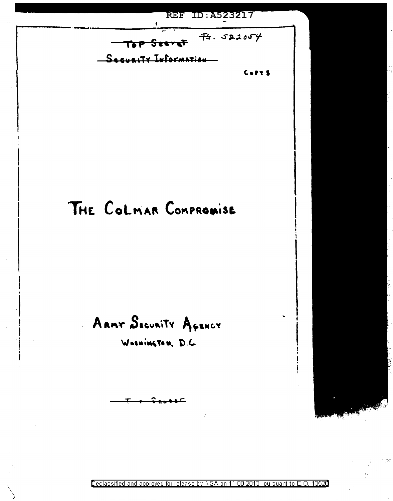**REF ID: A523217** 

 $75.522054$ Top Seeret Security Information

,.,,,

# THE COLMAR COMPROMISE

 $A$ **ARMT**  $S$ **EGUAITY**  $A$ *GENCY* 

 $W$ *asuing To u. D.C.* 

T *v* ~ **1::0 • t:r** 

 $\bigwedge$ 

Declassified and approved for release by NSA on 11-08-2013 pursuant to E. 0. 1352B -------------------- --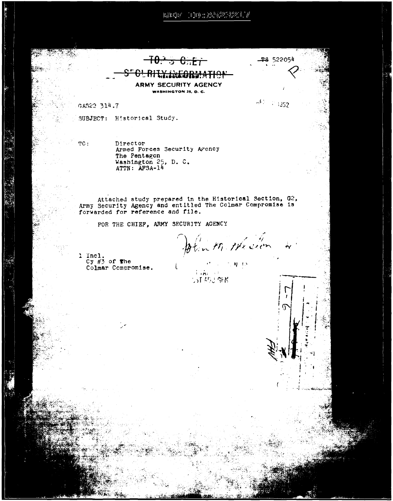$\mathbb{E}[\mathbb{E}[\mathbb{G}^{\mu}]-[\mathbb{F}][\mathbb{F}]\cong \mathbb{E}[\mathbb{E}[\mathbb{G}^{\mu}]\otimes \mathbb{F}[\mathbb{G}^{\mu}]]]/\ell$ 

**TS** 522054 - 11

 $-7.352$ 

 $H^{\prime}$ 

 $-10.336$ <del>XIXFORMATIO</del>

**ARMY SECURITY AGENCY** WASHINGTON 25, D. C.

GAS22 314.7

SUBJECT: Historical Study.

TC:

Director Armed Forces Security Agency The Pentagon Washington 25, D. C.<br>ATTN: AFSA-14

Attached study prepared in the Historical Section, G2, Army Security Agency and entitled The Colmar Compromise is forwarded for reference and file.

FOR THE CHIEF, ARMY SECURITY AGENCY

plant Heston

 $\mathcal{F}^{\bullet}$  , and  $\mathcal{F}^{\bullet}_1$  ,  $\mathbf{N}$  , and

1 Incl.  $Cy \#3$  of the Colmar Compromise.

 $1.76 \times 10$ **STASS ARK**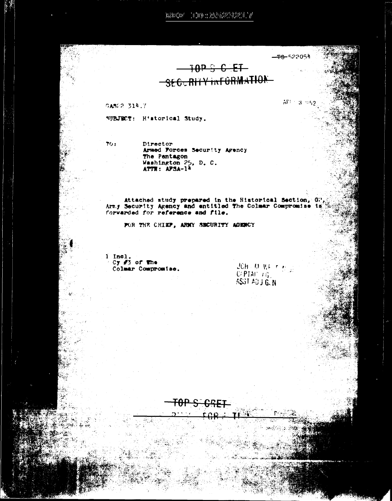$1.314317 \pm 1.019 \pm 2.23232223221 \pm 0.000222123221 \pm 0.00022123221 \pm 0.00022123221 \pm 0.00022123221 \pm 0.00022123221 \pm 0.00022123221 \pm 0.00022123221 \pm 0.00022123221 \pm 0.00022123221 \pm 0.0002123221 \pm 0.0002123221 \pm 0.00021232$ 

**10P & C ET** SEGURHY INFORMATION

GAS22 314.7

SUBJECT: H'storical Study.

 $70:$ 

Director Armed Forces Security Agency The Pentagon Washington 25, D. C.<br>ATTN: APSA-14

Attached study prepared in the Historical Section, 02<br>Army Security Agency and entitled The Colmar Compromise is<br>forwarded for reference and file.

FOR THE CHIEF, ARMY SECURITY AGENCY

<del>TAP STRI</del>RI

 $\frac{1}{\sqrt{5}}$  and  $\frac{1}{\sqrt{5}}$  of the Colmar Compromise.

 $JCH$  (M WE T  $\mathcal{D}(\mathcal{G})$  $C(PTA)$ <sup> $\top$ </sup> $G$ <sub> $\top$ </sub> ASST ADU GLN

المتفقة

<del>-28-</del>522054

 $AP = 3.952$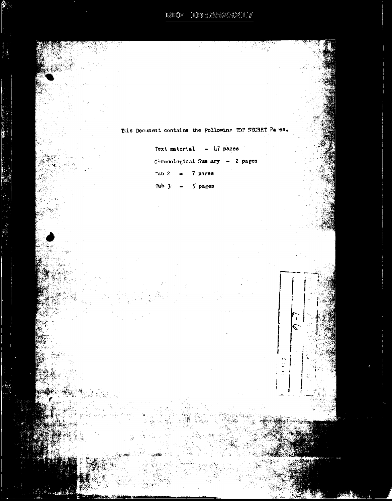${\rm BMO}(\mathbb{R}^n) \cap {\rm D}(\mathbb{R}^n) \otimes {\rm BMO}(\mathbb{R}^n) \otimes {\rm D}(\mathbb{R}^n) \otimes {\rm D}(\mathbb{R}^n)$ 

This Document contains the Pollowing TOP SECRET Pares. Text material  $-$  47 pages Chronological Summary - 2 pages Tab 2  $\rightarrow$  7 pares Tab  $3 - 5$  pages  $\mathbf{V}$  $\overline{\mathcal{E}}$  $\epsilon \gamma$ £,  $\omega$  and  $\omega$ 

À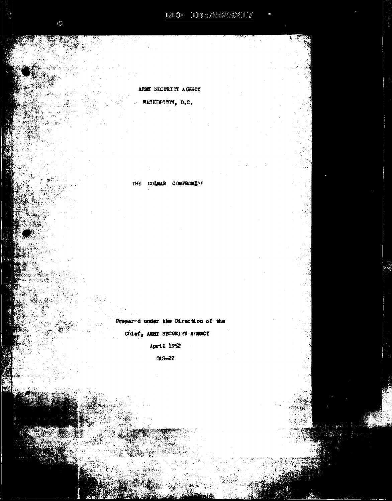ARMY SECURITY AGENCY WASHINGTON, D.C.

THE COLMAR COMPROMISE

Prepared under the Direction of the Chief, ARMI SECURITI AGENCI April 1952

 $0.5 - 22$ 

 $\chi_{\rm{eff}}$  :

縅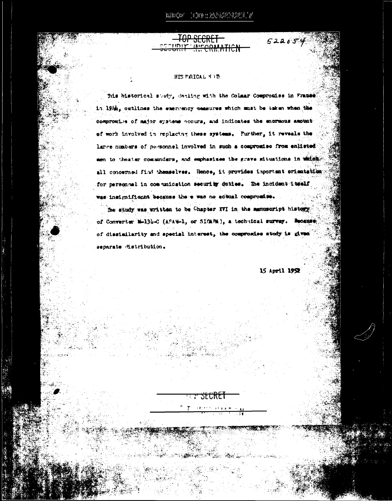<del>VATICN</del>

## HIS URICAL NO IE

This historical study, danling with the Colmar Comprosise in France in 1914, outlines the emergency measures which must be taken when the compromise of major systems occurs, and indicates the enormous amount of work involved in replacing these systems. Further, it reveals the large numbers of personnel involved in such a compromise from enlisted sen to theater commenders, and emphasises the grave situations in which all concerned find themselves. Hence, it provides important orientation for personnel in communication security duties. The incident itself was insignificant because the e was no actual compromise.

the study was written to be Chapter XVI in the manuscript history. of Converter M-13b-C (ASAM-1, or SIGARM), a technical survey. Recense of dissimilarity and special interest, the compromise study is given separate distribution.

энл

15 April 1952

 $522054$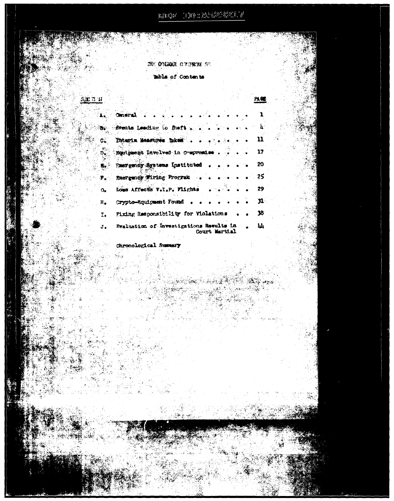$\left| \mathbb{E} \left( \mathbb{E} \left( \mathbb{E} \right)^* - \mathbb{E} \left( \mathbb{E} \right) \right) \right| \geq \left| \mathbb{E} \left( \mathbb{E} \left( \mathbb{E} \right)^* \right) \right| \geq \left| \mathbb{E} \left( \mathbb{E} \left( \mathbb{E} \right)^* \right) \right|$ 

THE COLLUMN CONTROL SE mable of Contents

3. A. A.

 $\frac{340 \pi u}{2}$ 

医不变

. . . . <del>. . . . .</del>

-23

у., 

.<br>Sir ે<br>ડાંગ જીવું

 $\ddot{\mathbf{x}}$ 

le st.

ija.

 $\frac{1}{\sum_{i=1}^n \sigma_i^2}$ 

양반화 도

an Balance<br>Manazarta

 $\frac{1}{\sqrt{\frac{1}{2}}}\sum_{k=1}^{N} \frac{1}{k} \sum_{k=1}^{N} \frac{1}{k}$ 

16년<br>대학  $\mathbf{0}_{\bullet}$ 

**PART**  $\mathbf{G}_{\mathbf{A}}$ 

> ्रि  $\mathbf{R}_0$

 $\mathbf{F}_{\mathbf{z}}$ 

 $\sim R_{\rm e}$ 

 $\label{eq:2} \mathbf{I}_\bullet$  $\sigma = \sigma_{\bullet}$ 

| frents Leading to mest 4                                 |     |
|----------------------------------------------------------|-----|
| Thterix Measures hekem                                   | -11 |
| Equipment Involved in Compression                        | 17  |
| Paergency Systems Instituted                             | 20  |
| Energency Wiring Program                                 | 25  |
| Lous Affects V.I.P. Flights                              | 29  |
| Crypto-Equipment Found                                   | 31. |
| Pixing Responsibility for Wolstions                      | 38  |
| Evaluation of Investigations Results in<br>Court Martiel | Ш   |
|                                                          |     |

**Barnet Book Star** 

e de Salva<br>Salvador

a slik

r<br>195

## $\begin{array}{c} \mathbf{a}_1 \\ \vdots \\ \mathbf{b}_n \end{array}$ Chronological Summary

经营费

 $\mathbb{R}$  :

 $\mathcal{R}^{\mathcal{G}}\left(\mathcal{G}_{\mathcal{G}}\right)\mathcal{G}_{\mathcal{G}}=\mathcal{R}_{\mathcal{G}}$ 

ર્ન ઇક્ષ્કેર્

Sing.<br>Virgi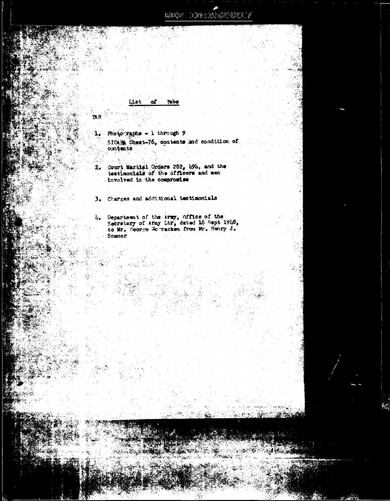$100 \pm 2 \lambda^{5} \pm 2.32 \pm 7$ nanatar

**Tabs** ۵ť

**TAB** 

1. Photo raphs - 1 through 9 SICAPA Chest-76, contents and condition of contents

2. Court Martial Orders 282, h94, and the testimonials of the officers and men . involved in the compromise

3. Charges and additional testimonials

2010年10月1日

h. Department of the Army, office of the Secretary of Army Ltr, dated 16 Sept 1918, to Mr. George Mc racken from Mr. Henry J. Sommer

ು ಮಾ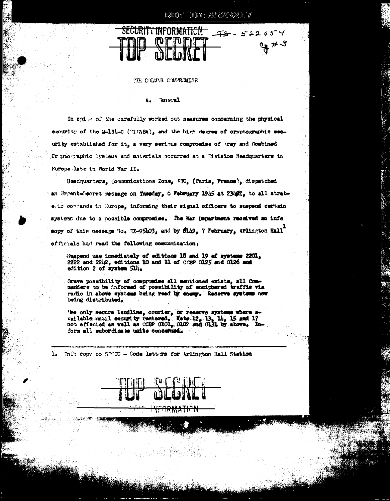1000:20223217 ng mga t



THE COLMAR COMPROMISE

### **Concral** ٨.

In spike of the carefully worked out seasures concerning the physical security of the 14-134-C (HICABA), and the high degree of cryptographic security established for it, a very serious compromise of army and Combined Or prographic Systems and materials occurred at a Division Headquarters in Rurope late in World War II.

Headquarters, Communications Zone, FTO, (Paris, France), dispatched an Urrent-Georet message on Tuesday, 6 February 1915 at 2310Z, to all strategic commends in Europe, informing their signal officers to suspend certain systems due to a possible compromise. The War Department received an info copy of this message "io. EX-95403, and by filing, 7 February, Arlington Hall" officials had read the following communication:

Suspend use immediately of editions 16 and 19 of systems 2201,  $2222$  and  $2212$ , editions 10 and 11 of  $0.29$  O125 and O126 and edition 2 of system 514.

Grave possibility of compromise all mentioned exists, all Com marklers to be informed of possibility of enciphered traffic via radio in above systems being read by enemy. Reserve systems now being distributed.

We only secure landline, courier, or reserve systems where a-vailable until security restored. Netw 12, 13, 14, 15 and 17 not affected as well as CCBP OlOl, OlO2 and Ol31 by above. Inform all subordinate units concerned.

1. Info copy to SPMIC - Code letters for Arlington Hall Station

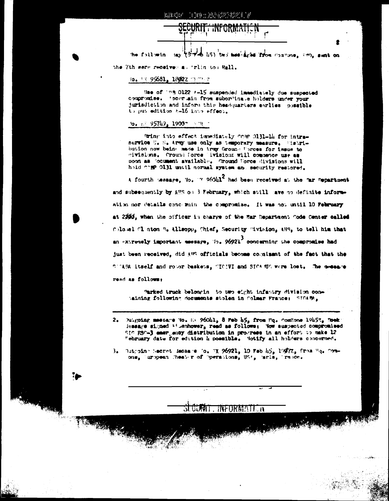## **INFORMATION**

the following say (3-rieb 1:5) two meaning the from concone, any, sent on

the 7th sere received a. Trlin tom Rall.

## 70. TX 95681, 1802Z CECO-T

Hae of ing 0122 A-15 suspended immediately due suspected compromise. 'scertain from subordinate holders under your jurisdiction and inform this headquarters enrices possible to put edition A-16 into effect.

### fo. nº 95749, 19007 - TR T

Rring into effect immediately comp Ol31-14 for intraservice U. S. Army use only as temporary measure. Histribution now being made in Army Ground Porces for issue to divisions. Cround Force Wisions will commence use as soon as Socument available. Ground Force divisions will hold for Ol31 until normal system and security restored.

A fourth tessage, Yo.  $\frac{1}{2}$  960hl<sup>2</sup> had been received at the "ar Department" and subsequently by AHS on 3 February, which still pave no definite information nor details concerning the compromise. It was not until 10 February at 25% when the officer in charge of the Har Department Code Center called Colomel Clinton B. Allsopp, Chief, Security Pivision, AHS, to tell him that an extremely important message, To, 96921 concerning the compromise had just been received, did AUS officials become cognisant of the fact that the SUGARA itself and robor baskets, SICIVI and SIGARDO were lost. The message read as follows:

Parked truck belongin to two eight infantry division conbaining following documents stolen in Colmar France: STGARM,

- 2. Dutgoing message No. Ex 960hl, 8 Feb h5, from Hq. ComZone 19h52, Doek: lessage signed 13 membewar, read as follows: Yow suspected compromised SIC ESC-3 emergency distribution in progress in an effort to make 12 "ebruary date for edition h possible. Notify all holders concerned.
- 3. Dutgoin Secret Ressure Io. W. 96921, 10 Feb  $\frac{1}{2}$ , 1997 $\frac{7}{2}$ , Trom Eq. Com-<br>one, 'uropean Theater of Operations, US:, 'aris, 'racon.

TNFORMATE R

<u>जा एंडमेंगां</u>